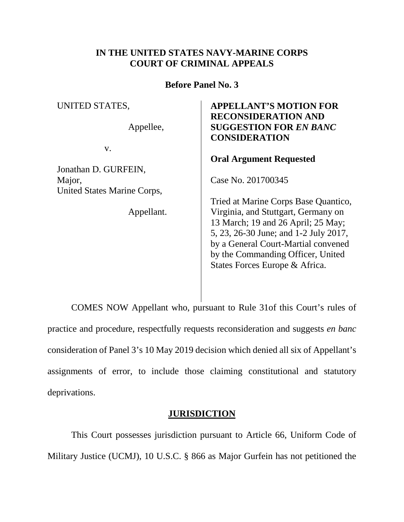## **IN THE UNITED STATES NAVY-MARINE CORPS COURT OF CRIMINAL APPEALS**

**Before Panel No. 3**

UNITED STATES,

Appellee,

v.

Jonathan D. GURFEIN, Major, United States Marine Corps,

Appellant.

## **APPELLANT'S MOTION FOR RECONSIDERATION AND SUGGESTION FOR** *EN BANC* **CONSIDERATION**

## **Oral Argument Requested**

Case No. 201700345

Tried at Marine Corps Base Quantico, Virginia, and Stuttgart, Germany on 13 March; 19 and 26 April; 25 May; 5, 23, 26-30 June; and 1-2 July 2017, by a General Court-Martial convened by the Commanding Officer, United States Forces Europe & Africa.

COMES NOW Appellant who, pursuant to Rule 31of this Court's rules of practice and procedure, respectfully requests reconsideration and suggests *en banc* consideration of Panel 3's 10 May 2019 decision which denied all six of Appellant's assignments of error, to include those claiming constitutional and statutory deprivations.

## **JURISDICTION**

This Court possesses jurisdiction pursuant to Article 66, Uniform Code of Military Justice (UCMJ), 10 U.S.C. § 866 as Major Gurfein has not petitioned the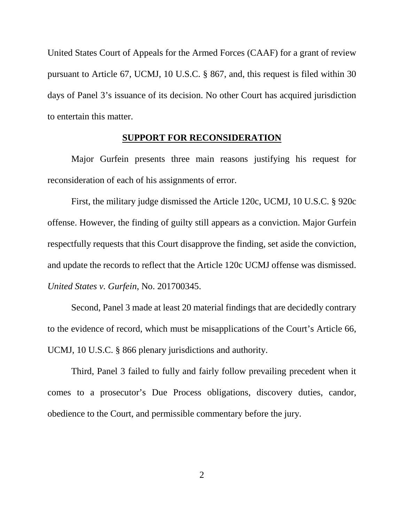United States Court of Appeals for the Armed Forces (CAAF) for a grant of review pursuant to Article 67, UCMJ, 10 U.S.C. § 867, and, this request is filed within 30 days of Panel 3's issuance of its decision. No other Court has acquired jurisdiction to entertain this matter.

#### **SUPPORT FOR RECONSIDERATION**

Major Gurfein presents three main reasons justifying his request for reconsideration of each of his assignments of error.

First, the military judge dismissed the Article 120c, UCMJ, 10 U.S.C. § 920c offense. However, the finding of guilty still appears as a conviction. Major Gurfein respectfully requests that this Court disapprove the finding, set aside the conviction, and update the records to reflect that the Article 120c UCMJ offense was dismissed. *United States v. Gurfein*, No. 201700345.

Second, Panel 3 made at least 20 material findings that are decidedly contrary to the evidence of record, which must be misapplications of the Court's Article 66, UCMJ, 10 U.S.C. § 866 plenary jurisdictions and authority.

Third, Panel 3 failed to fully and fairly follow prevailing precedent when it comes to a prosecutor's Due Process obligations, discovery duties, candor, obedience to the Court, and permissible commentary before the jury.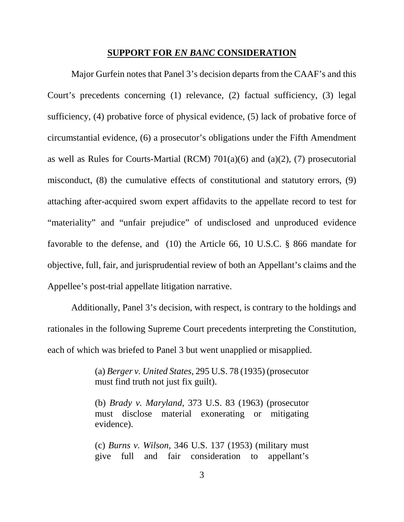#### **SUPPORT FOR** *EN BANC* **CONSIDERATION**

Major Gurfein notes that Panel 3's decision departs from the CAAF's and this Court's precedents concerning (1) relevance, (2) factual sufficiency, (3) legal sufficiency, (4) probative force of physical evidence, (5) lack of probative force of circumstantial evidence, (6) a prosecutor's obligations under the Fifth Amendment as well as Rules for Courts-Martial (RCM) 701(a)(6) and (a)(2), (7) prosecutorial misconduct, (8) the cumulative effects of constitutional and statutory errors, (9) attaching after-acquired sworn expert affidavits to the appellate record to test for "materiality" and "unfair prejudice" of undisclosed and unproduced evidence favorable to the defense, and (10) the Article 66, 10 U.S.C. § 866 mandate for objective, full, fair, and jurisprudential review of both an Appellant's claims and the Appellee's post-trial appellate litigation narrative.

Additionally, Panel 3's decision, with respect, is contrary to the holdings and rationales in the following Supreme Court precedents interpreting the Constitution, each of which was briefed to Panel 3 but went unapplied or misapplied.

> (a) *Berger v. United States*, 295 U.S. 78 (1935) (prosecutor must find truth not just fix guilt).

> (b) *Brady v. Maryland*, 373 U.S. 83 (1963) (prosecutor must disclose material exonerating or mitigating evidence).

> (c) *Burns v. Wilson,* 346 U.S. 137 (1953) (military must give full and fair consideration to appellant's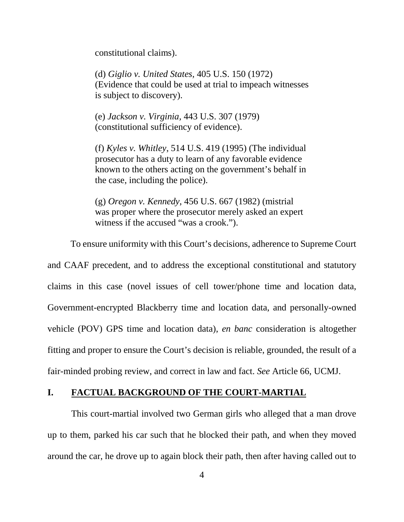constitutional claims).

(d) *Giglio v. United States,* 405 U.S. 150 (1972) (Evidence that could be used at trial to impeach witnesses is subject to discovery).

(e) *Jackson v. Virginia,* 443 U.S. 307 (1979) (constitutional sufficiency of evidence).

(f) *Kyles v. Whitley*, 514 U.S. 419 (1995) (The individual prosecutor has a duty to learn of any favorable evidence known to the others acting on the government's behalf in the case, including the police).

(g) *Oregon v. Kennedy*, 456 U.S. 667 (1982) (mistrial was proper where the prosecutor merely asked an expert witness if the accused "was a crook.").

To ensure uniformity with this Court's decisions, adherence to Supreme Court

and CAAF precedent, and to address the exceptional constitutional and statutory claims in this case (novel issues of cell tower/phone time and location data, Government-encrypted Blackberry time and location data, and personally-owned vehicle (POV) GPS time and location data), *en banc* consideration is altogether fitting and proper to ensure the Court's decision is reliable, grounded, the result of a fair-minded probing review, and correct in law and fact. *See* Article 66, UCMJ.

### **I. FACTUAL BACKGROUND OF THE COURT-MARTIAL**

This court-martial involved two German girls who alleged that a man drove up to them, parked his car such that he blocked their path, and when they moved around the car, he drove up to again block their path, then after having called out to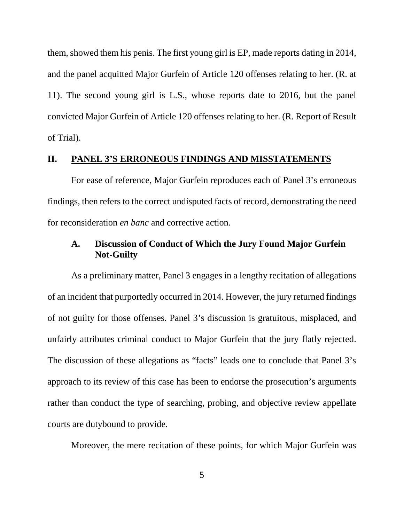them, showed them his penis. The first young girl is EP, made reports dating in 2014, and the panel acquitted Major Gurfein of Article 120 offenses relating to her. (R. at 11). The second young girl is L.S., whose reports date to 2016, but the panel convicted Major Gurfein of Article 120 offenses relating to her. (R. Report of Result of Trial).

#### **II. PANEL 3'S ERRONEOUS FINDINGS AND MISSTATEMENTS**

For ease of reference, Major Gurfein reproduces each of Panel 3's erroneous findings, then refers to the correct undisputed facts of record, demonstrating the need for reconsideration *en banc* and corrective action.

## **A. Discussion of Conduct of Which the Jury Found Major Gurfein Not-Guilty**

As a preliminary matter, Panel 3 engages in a lengthy recitation of allegations of an incident that purportedly occurred in 2014. However, the jury returned findings of not guilty for those offenses. Panel 3's discussion is gratuitous, misplaced, and unfairly attributes criminal conduct to Major Gurfein that the jury flatly rejected. The discussion of these allegations as "facts" leads one to conclude that Panel 3's approach to its review of this case has been to endorse the prosecution's arguments rather than conduct the type of searching, probing, and objective review appellate courts are dutybound to provide.

Moreover, the mere recitation of these points, for which Major Gurfein was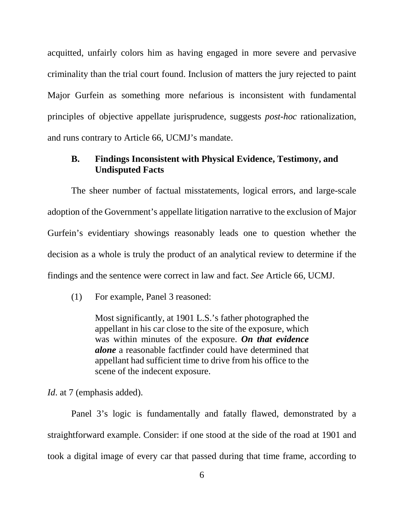acquitted, unfairly colors him as having engaged in more severe and pervasive criminality than the trial court found. Inclusion of matters the jury rejected to paint Major Gurfein as something more nefarious is inconsistent with fundamental principles of objective appellate jurisprudence, suggests *post-hoc* rationalization, and runs contrary to Article 66, UCMJ's mandate.

### **B. Findings Inconsistent with Physical Evidence, Testimony, and Undisputed Facts**

The sheer number of factual misstatements, logical errors, and large-scale adoption of the Government's appellate litigation narrative to the exclusion of Major Gurfein's evidentiary showings reasonably leads one to question whether the decision as a whole is truly the product of an analytical review to determine if the findings and the sentence were correct in law and fact. *See* Article 66, UCMJ.

(1) For example, Panel 3 reasoned:

Most significantly, at 1901 L.S.'s father photographed the appellant in his car close to the site of the exposure, which was within minutes of the exposure. *On that evidence alone* a reasonable factfinder could have determined that appellant had sufficient time to drive from his office to the scene of the indecent exposure.

*Id.* at 7 (emphasis added).

Panel 3's logic is fundamentally and fatally flawed, demonstrated by a straightforward example. Consider: if one stood at the side of the road at 1901 and took a digital image of every car that passed during that time frame, according to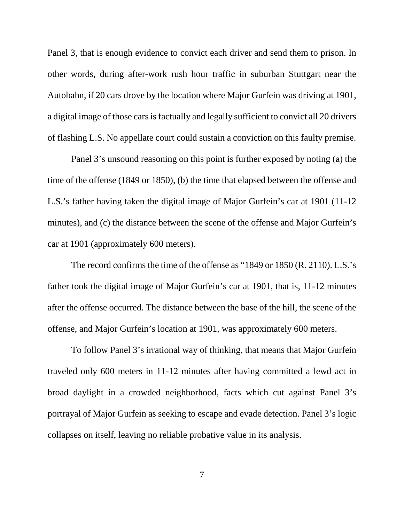Panel 3, that is enough evidence to convict each driver and send them to prison. In other words, during after-work rush hour traffic in suburban Stuttgart near the Autobahn, if 20 cars drove by the location where Major Gurfein was driving at 1901, a digital image of those cars is factually and legally sufficient to convict all 20 drivers of flashing L.S. No appellate court could sustain a conviction on this faulty premise.

Panel 3's unsound reasoning on this point is further exposed by noting (a) the time of the offense (1849 or 1850), (b) the time that elapsed between the offense and L.S.'s father having taken the digital image of Major Gurfein's car at 1901 (11-12 minutes), and (c) the distance between the scene of the offense and Major Gurfein's car at 1901 (approximately 600 meters).

The record confirms the time of the offense as "1849 or 1850 (R. 2110). L.S.'s father took the digital image of Major Gurfein's car at 1901, that is, 11-12 minutes after the offense occurred. The distance between the base of the hill, the scene of the offense, and Major Gurfein's location at 1901, was approximately 600 meters.

To follow Panel 3's irrational way of thinking, that means that Major Gurfein traveled only 600 meters in 11-12 minutes after having committed a lewd act in broad daylight in a crowded neighborhood, facts which cut against Panel 3's portrayal of Major Gurfein as seeking to escape and evade detection. Panel 3's logic collapses on itself, leaving no reliable probative value in its analysis.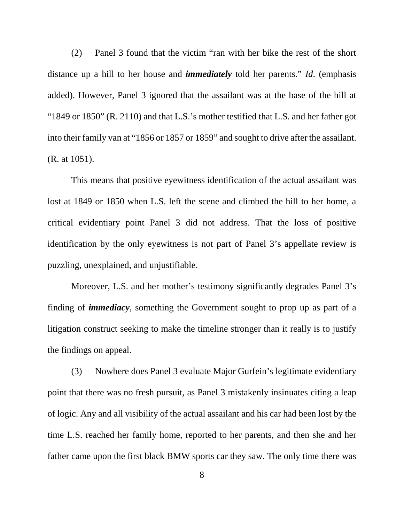(2) Panel 3 found that the victim "ran with her bike the rest of the short distance up a hill to her house and *immediately* told her parents." *Id*. (emphasis added). However, Panel 3 ignored that the assailant was at the base of the hill at "1849 or 1850" (R. 2110) and that L.S.'s mother testified that L.S. and her father got into their family van at "1856 or 1857 or 1859" and sought to drive after the assailant. (R. at 1051).

This means that positive eyewitness identification of the actual assailant was lost at 1849 or 1850 when L.S. left the scene and climbed the hill to her home, a critical evidentiary point Panel 3 did not address. That the loss of positive identification by the only eyewitness is not part of Panel 3's appellate review is puzzling, unexplained, and unjustifiable.

Moreover, L.S. and her mother's testimony significantly degrades Panel 3's finding of *immediacy*, something the Government sought to prop up as part of a litigation construct seeking to make the timeline stronger than it really is to justify the findings on appeal.

(3) Nowhere does Panel 3 evaluate Major Gurfein's legitimate evidentiary point that there was no fresh pursuit, as Panel 3 mistakenly insinuates citing a leap of logic. Any and all visibility of the actual assailant and his car had been lost by the time L.S. reached her family home, reported to her parents, and then she and her father came upon the first black BMW sports car they saw. The only time there was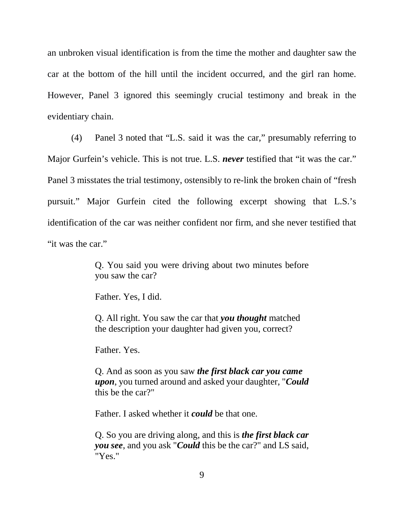an unbroken visual identification is from the time the mother and daughter saw the car at the bottom of the hill until the incident occurred, and the girl ran home. However, Panel 3 ignored this seemingly crucial testimony and break in the evidentiary chain.

(4) Panel 3 noted that "L.S. said it was the car," presumably referring to Major Gurfein's vehicle. This is not true. L.S. *never* testified that "it was the car." Panel 3 misstates the trial testimony, ostensibly to re-link the broken chain of "fresh pursuit." Major Gurfein cited the following excerpt showing that L.S.'s identification of the car was neither confident nor firm, and she never testified that "it was the car."

> Q. You said you were driving about two minutes before you saw the car?

Father. Yes, I did.

Q. All right. You saw the car that *you thought* matched the description your daughter had given you, correct?

Father. Yes.

Q. And as soon as you saw *the first black car you came upon*, you turned around and asked your daughter, "*Could*  this be the car?"

Father. I asked whether it *could* be that one.

Q. So you are driving along, and this is *the first black car you see*, and you ask "*Could* this be the car?" and LS said, "Yes."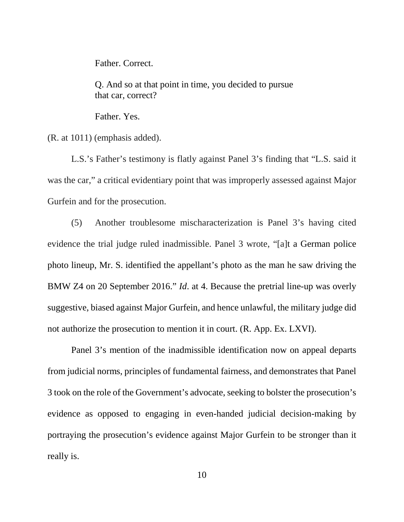Father. Correct.

Q. And so at that point in time, you decided to pursue that car, correct?

Father. Yes.

(R. at 1011) (emphasis added).

L.S.'s Father's testimony is flatly against Panel 3's finding that "L.S. said it was the car," a critical evidentiary point that was improperly assessed against Major Gurfein and for the prosecution.

(5) Another troublesome mischaracterization is Panel 3's having cited evidence the trial judge ruled inadmissible. Panel 3 wrote, "[a]t a German police photo lineup, Mr. S. identified the appellant's photo as the man he saw driving the BMW Z4 on 20 September 2016." *Id*. at 4. Because the pretrial line-up was overly suggestive, biased against Major Gurfein, and hence unlawful, the military judge did not authorize the prosecution to mention it in court. (R. App. Ex. LXVI).

Panel 3's mention of the inadmissible identification now on appeal departs from judicial norms, principles of fundamental fairness, and demonstrates that Panel 3 took on the role of the Government's advocate, seeking to bolster the prosecution's evidence as opposed to engaging in even-handed judicial decision-making by portraying the prosecution's evidence against Major Gurfein to be stronger than it really is.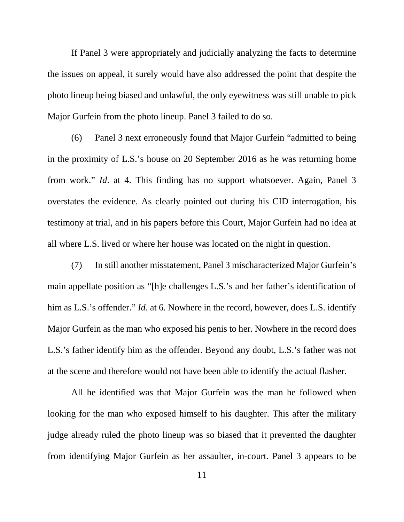If Panel 3 were appropriately and judicially analyzing the facts to determine the issues on appeal, it surely would have also addressed the point that despite the photo lineup being biased and unlawful, the only eyewitness was still unable to pick Major Gurfein from the photo lineup. Panel 3 failed to do so.

(6) Panel 3 next erroneously found that Major Gurfein "admitted to being in the proximity of L.S.'s house on 20 September 2016 as he was returning home from work." *Id*. at 4. This finding has no support whatsoever. Again, Panel 3 overstates the evidence. As clearly pointed out during his CID interrogation, his testimony at trial, and in his papers before this Court, Major Gurfein had no idea at all where L.S. lived or where her house was located on the night in question.

(7) In still another misstatement, Panel 3 mischaracterized Major Gurfein's main appellate position as "[h]e challenges L.S.'s and her father's identification of him as L.S.'s offender." *Id*. at 6. Nowhere in the record, however, does L.S. identify Major Gurfein as the man who exposed his penis to her. Nowhere in the record does L.S.'s father identify him as the offender. Beyond any doubt, L.S.'s father was not at the scene and therefore would not have been able to identify the actual flasher.

All he identified was that Major Gurfein was the man he followed when looking for the man who exposed himself to his daughter. This after the military judge already ruled the photo lineup was so biased that it prevented the daughter from identifying Major Gurfein as her assaulter, in-court. Panel 3 appears to be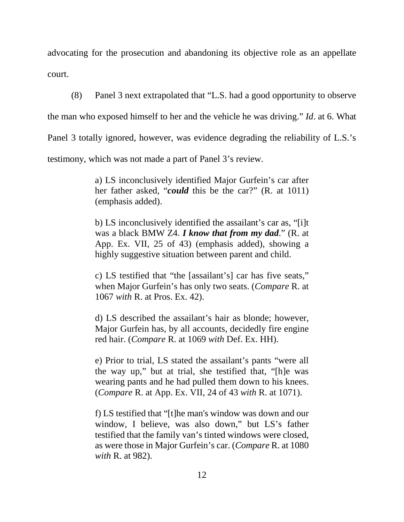advocating for the prosecution and abandoning its objective role as an appellate court.

(8) Panel 3 next extrapolated that "L.S. had a good opportunity to observe

the man who exposed himself to her and the vehicle he was driving." *Id*. at 6. What

Panel 3 totally ignored, however, was evidence degrading the reliability of L.S.'s

testimony, which was not made a part of Panel 3's review.

a) LS inconclusively identified Major Gurfein's car after her father asked, "*could* this be the car?" (R. at 1011) (emphasis added).

b) LS inconclusively identified the assailant's car as, "[i]t was a black BMW Z4. *I know that from my dad*." (R. at App. Ex. VII, 25 of 43) (emphasis added), showing a highly suggestive situation between parent and child.

c) LS testified that "the [assailant's] car has five seats," when Major Gurfein's has only two seats. (*Compare* R. at 1067 *with* R. at Pros. Ex. 42).

d) LS described the assailant's hair as blonde; however, Major Gurfein has, by all accounts, decidedly fire engine red hair. (*Compare* R. at 1069 *with* Def. Ex. HH).

e) Prior to trial, LS stated the assailant's pants "were all the way up," but at trial, she testified that, "[h]e was wearing pants and he had pulled them down to his knees. (*Compare* R. at App. Ex. VII, 24 of 43 *with* R. at 1071).

f) LS testified that "[t]he man's window was down and our window, I believe, was also down," but LS's father testified that the family van's tinted windows were closed, as were those in Major Gurfein's car. (*Compare* R. at 1080 *with* R. at 982).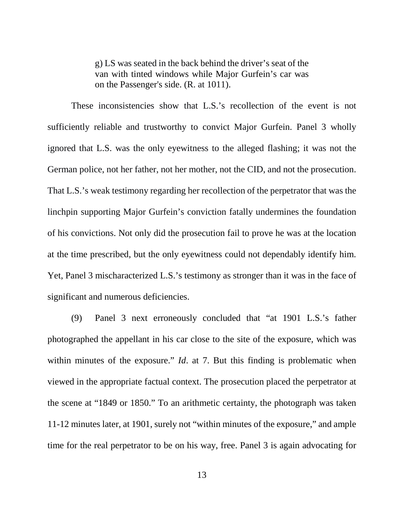g) LS was seated in the back behind the driver's seat of the van with tinted windows while Major Gurfein's car was on the Passenger's side. (R. at 1011).

These inconsistencies show that L.S.'s recollection of the event is not sufficiently reliable and trustworthy to convict Major Gurfein. Panel 3 wholly ignored that L.S. was the only eyewitness to the alleged flashing; it was not the German police, not her father, not her mother, not the CID, and not the prosecution. That L.S.'s weak testimony regarding her recollection of the perpetrator that was the linchpin supporting Major Gurfein's conviction fatally undermines the foundation of his convictions. Not only did the prosecution fail to prove he was at the location at the time prescribed, but the only eyewitness could not dependably identify him. Yet, Panel 3 mischaracterized L.S.'s testimony as stronger than it was in the face of significant and numerous deficiencies.

(9) Panel 3 next erroneously concluded that "at 1901 L.S.'s father photographed the appellant in his car close to the site of the exposure, which was within minutes of the exposure." *Id.* at 7. But this finding is problematic when viewed in the appropriate factual context. The prosecution placed the perpetrator at the scene at "1849 or 1850." To an arithmetic certainty, the photograph was taken 11-12 minutes later, at 1901, surely not "within minutes of the exposure," and ample time for the real perpetrator to be on his way, free. Panel 3 is again advocating for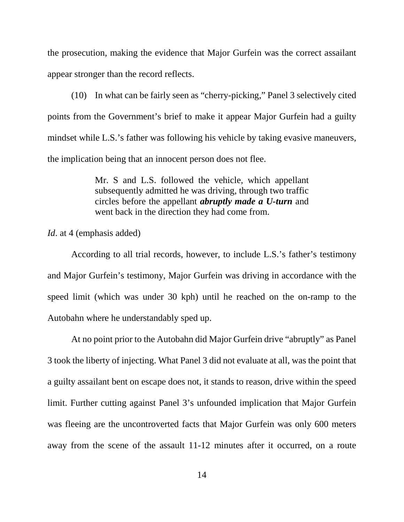the prosecution, making the evidence that Major Gurfein was the correct assailant appear stronger than the record reflects.

(10) In what can be fairly seen as "cherry-picking," Panel 3 selectively cited points from the Government's brief to make it appear Major Gurfein had a guilty mindset while L.S.'s father was following his vehicle by taking evasive maneuvers, the implication being that an innocent person does not flee.

> Mr. S and L.S. followed the vehicle, which appellant subsequently admitted he was driving, through two traffic circles before the appellant *abruptly made a U-turn* and went back in the direction they had come from.

*Id*. at 4 (emphasis added)

According to all trial records, however, to include L.S.'s father's testimony and Major Gurfein's testimony, Major Gurfein was driving in accordance with the speed limit (which was under 30 kph) until he reached on the on-ramp to the Autobahn where he understandably sped up.

At no point prior to the Autobahn did Major Gurfein drive "abruptly" as Panel 3 took the liberty of injecting. What Panel 3 did not evaluate at all, was the point that a guilty assailant bent on escape does not, it stands to reason, drive within the speed limit. Further cutting against Panel 3's unfounded implication that Major Gurfein was fleeing are the uncontroverted facts that Major Gurfein was only 600 meters away from the scene of the assault 11-12 minutes after it occurred, on a route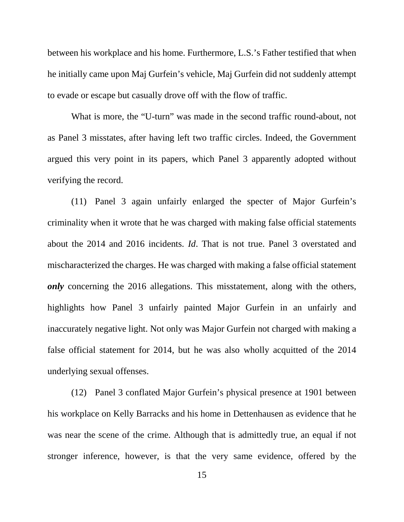between his workplace and his home. Furthermore, L.S.'s Father testified that when he initially came upon Maj Gurfein's vehicle, Maj Gurfein did not suddenly attempt to evade or escape but casually drove off with the flow of traffic.

What is more, the "U-turn" was made in the second traffic round-about, not as Panel 3 misstates, after having left two traffic circles. Indeed, the Government argued this very point in its papers, which Panel 3 apparently adopted without verifying the record.

(11) Panel 3 again unfairly enlarged the specter of Major Gurfein's criminality when it wrote that he was charged with making false official statements about the 2014 and 2016 incidents. *Id*. That is not true. Panel 3 overstated and mischaracterized the charges. He was charged with making a false official statement *only* concerning the 2016 allegations. This misstatement, along with the others, highlights how Panel 3 unfairly painted Major Gurfein in an unfairly and inaccurately negative light. Not only was Major Gurfein not charged with making a false official statement for 2014, but he was also wholly acquitted of the 2014 underlying sexual offenses.

(12) Panel 3 conflated Major Gurfein's physical presence at 1901 between his workplace on Kelly Barracks and his home in Dettenhausen as evidence that he was near the scene of the crime. Although that is admittedly true, an equal if not stronger inference, however, is that the very same evidence, offered by the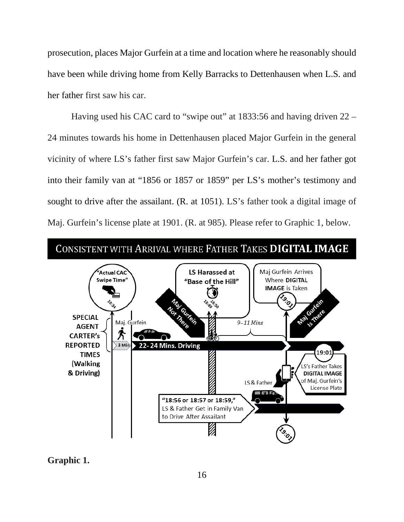prosecution, places Major Gurfein at a time and location where he reasonably should have been while driving home from Kelly Barracks to Dettenhausen when L.S. and her father first saw his car.

Having used his CAC card to "swipe out" at 1833:56 and having driven 22 – 24 minutes towards his home in Dettenhausen placed Major Gurfein in the general vicinity of where LS's father first saw Major Gurfein's car. L.S. and her father got into their family van at "1856 or 1857 or 1859" per LS's mother's testimony and sought to drive after the assailant. (R. at 1051). LS's father took a digital image of Maj. Gurfein's license plate at 1901. (R. at 985). Please refer to Graphic 1, below.



**Graphic 1.**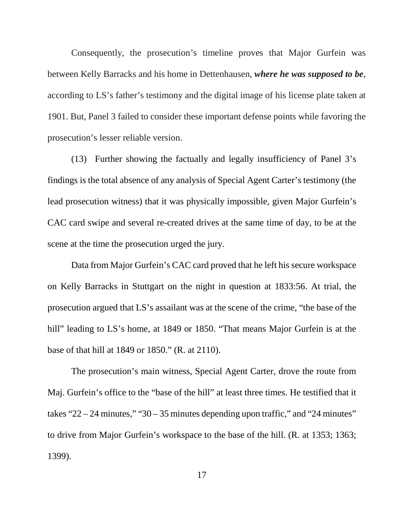Consequently, the prosecution's timeline proves that Major Gurfein was between Kelly Barracks and his home in Dettenhausen, *where he was supposed to be*, according to LS's father's testimony and the digital image of his license plate taken at 1901. But, Panel 3 failed to consider these important defense points while favoring the prosecution's lesser reliable version.

(13) Further showing the factually and legally insufficiency of Panel 3's findings is the total absence of any analysis of Special Agent Carter's testimony (the lead prosecution witness) that it was physically impossible, given Major Gurfein's CAC card swipe and several re-created drives at the same time of day, to be at the scene at the time the prosecution urged the jury.

Data from Major Gurfein's CAC card proved that he left his secure workspace on Kelly Barracks in Stuttgart on the night in question at 1833:56. At trial, the prosecution argued that LS's assailant was at the scene of the crime, "the base of the hill" leading to LS's home, at 1849 or 1850. "That means Major Gurfein is at the base of that hill at 1849 or 1850." (R. at 2110).

The prosecution's main witness, Special Agent Carter, drove the route from Maj. Gurfein's office to the "base of the hill" at least three times. He testified that it takes " $22 - 24$  minutes," " $30 - 35$  minutes depending upon traffic," and " $24$  minutes" to drive from Major Gurfein's workspace to the base of the hill. (R. at 1353; 1363; 1399).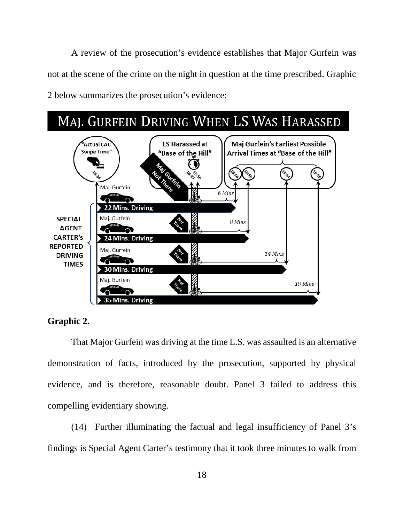A review of the prosecution's evidence establishes that Major Gurfein was not at the scene of the crime on the night in question at the time prescribed. Graphic 2 below summarizes the prosecution's evidence:



## **Graphic 2.**

That Major Gurfein was driving at the time L.S. was assaulted is an alternative demonstration of facts, introduced by the prosecution, supported by physical evidence, and is therefore, reasonable doubt. Panel 3 failed to address this compelling evidentiary showing.

(14) Further illuminating the factual and legal insufficiency of Panel 3's findings is Special Agent Carter's testimony that it took three minutes to walk from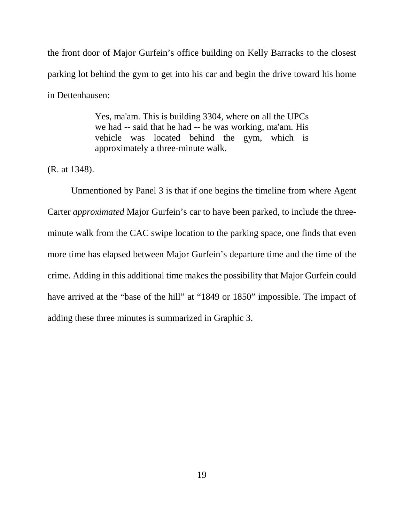the front door of Major Gurfein's office building on Kelly Barracks to the closest parking lot behind the gym to get into his car and begin the drive toward his home in Dettenhausen:

> Yes, ma'am. This is building 3304, where on all the UPCs we had -- said that he had -- he was working, ma'am. His vehicle was located behind the gym, which is approximately a three-minute walk.

(R. at 1348).

Unmentioned by Panel 3 is that if one begins the timeline from where Agent Carter *approximated* Major Gurfein's car to have been parked, to include the threeminute walk from the CAC swipe location to the parking space, one finds that even more time has elapsed between Major Gurfein's departure time and the time of the crime. Adding in this additional time makes the possibility that Major Gurfein could have arrived at the "base of the hill" at "1849 or 1850" impossible. The impact of adding these three minutes is summarized in Graphic 3.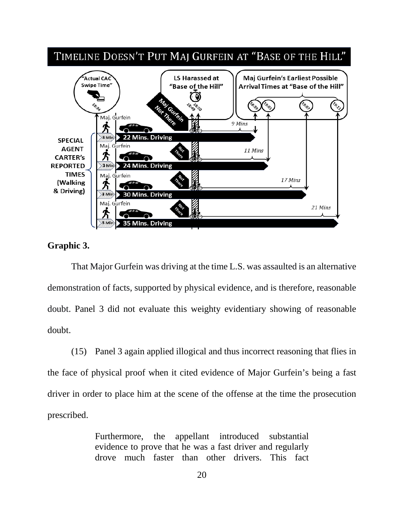

## **Graphic 3.**

That Major Gurfein was driving at the time L.S. was assaulted is an alternative demonstration of facts, supported by physical evidence, and is therefore, reasonable doubt. Panel 3 did not evaluate this weighty evidentiary showing of reasonable doubt.

(15) Panel 3 again applied illogical and thus incorrect reasoning that flies in the face of physical proof when it cited evidence of Major Gurfein's being a fast driver in order to place him at the scene of the offense at the time the prosecution prescribed.

> Furthermore, the appellant introduced substantial evidence to prove that he was a fast driver and regularly drove much faster than other drivers. This fact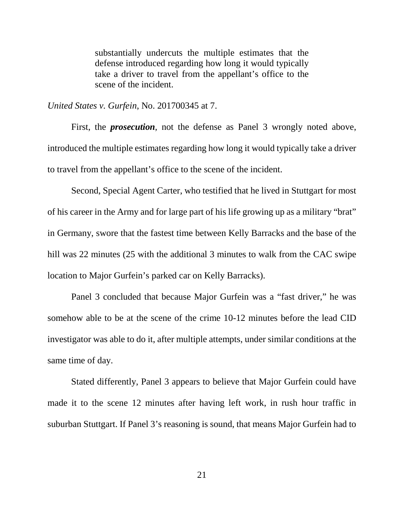substantially undercuts the multiple estimates that the defense introduced regarding how long it would typically take a driver to travel from the appellant's office to the scene of the incident.

*United States v. Gurfein*, No. 201700345 at 7.

First, the *prosecution*, not the defense as Panel 3 wrongly noted above, introduced the multiple estimates regarding how long it would typically take a driver to travel from the appellant's office to the scene of the incident.

Second, Special Agent Carter, who testified that he lived in Stuttgart for most of his career in the Army and for large part of his life growing up as a military "brat" in Germany, swore that the fastest time between Kelly Barracks and the base of the hill was 22 minutes (25 with the additional 3 minutes to walk from the CAC swipe location to Major Gurfein's parked car on Kelly Barracks).

Panel 3 concluded that because Major Gurfein was a "fast driver," he was somehow able to be at the scene of the crime 10-12 minutes before the lead CID investigator was able to do it, after multiple attempts, under similar conditions at the same time of day.

Stated differently, Panel 3 appears to believe that Major Gurfein could have made it to the scene 12 minutes after having left work, in rush hour traffic in suburban Stuttgart. If Panel 3's reasoning is sound, that means Major Gurfein had to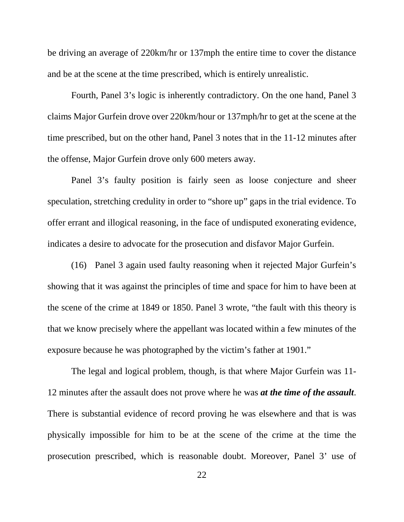be driving an average of 220km/hr or 137mph the entire time to cover the distance and be at the scene at the time prescribed, which is entirely unrealistic.

Fourth, Panel 3's logic is inherently contradictory. On the one hand, Panel 3 claims Major Gurfein drove over 220km/hour or 137mph/hr to get at the scene at the time prescribed, but on the other hand, Panel 3 notes that in the 11-12 minutes after the offense, Major Gurfein drove only 600 meters away.

Panel 3's faulty position is fairly seen as loose conjecture and sheer speculation, stretching credulity in order to "shore up" gaps in the trial evidence. To offer errant and illogical reasoning, in the face of undisputed exonerating evidence, indicates a desire to advocate for the prosecution and disfavor Major Gurfein.

(16) Panel 3 again used faulty reasoning when it rejected Major Gurfein's showing that it was against the principles of time and space for him to have been at the scene of the crime at 1849 or 1850. Panel 3 wrote, "the fault with this theory is that we know precisely where the appellant was located within a few minutes of the exposure because he was photographed by the victim's father at 1901."

The legal and logical problem, though, is that where Major Gurfein was 11- 12 minutes after the assault does not prove where he was *at the time of the assault*. There is substantial evidence of record proving he was elsewhere and that is was physically impossible for him to be at the scene of the crime at the time the prosecution prescribed, which is reasonable doubt. Moreover, Panel 3' use of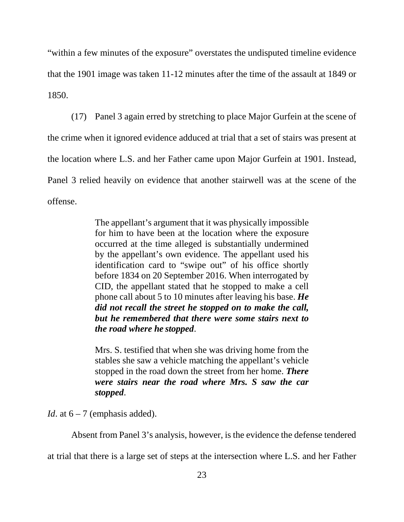"within a few minutes of the exposure" overstates the undisputed timeline evidence that the 1901 image was taken 11-12 minutes after the time of the assault at 1849 or 1850.

(17) Panel 3 again erred by stretching to place Major Gurfein at the scene of the crime when it ignored evidence adduced at trial that a set of stairs was present at the location where L.S. and her Father came upon Major Gurfein at 1901. Instead, Panel 3 relied heavily on evidence that another stairwell was at the scene of the offense.

> The appellant's argument that it was physically impossible for him to have been at the location where the exposure occurred at the time alleged is substantially undermined by the appellant's own evidence. The appellant used his identification card to "swipe out" of his office shortly before 1834 on 20 September 2016. When interrogated by CID, the appellant stated that he stopped to make a cell phone call about 5 to 10 minutes after leaving his base. *He did not recall the street he stopped on to make the call, but he remembered that there were some stairs next to the road where he stopped*.

> Mrs. S. testified that when she was driving home from the stables she saw a vehicle matching the appellant's vehicle stopped in the road down the street from her home. *There were stairs near the road where Mrs. S saw the car stopped*.

*Id.* at  $6 - 7$  (emphasis added).

Absent from Panel 3's analysis, however, is the evidence the defense tendered

at trial that there is a large set of steps at the intersection where L.S. and her Father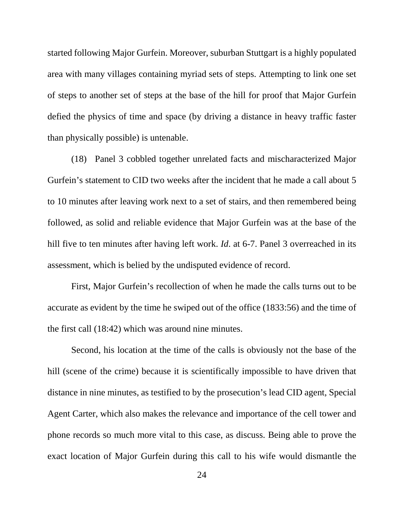started following Major Gurfein. Moreover, suburban Stuttgart is a highly populated area with many villages containing myriad sets of steps. Attempting to link one set of steps to another set of steps at the base of the hill for proof that Major Gurfein defied the physics of time and space (by driving a distance in heavy traffic faster than physically possible) is untenable.

(18) Panel 3 cobbled together unrelated facts and mischaracterized Major Gurfein's statement to CID two weeks after the incident that he made a call about 5 to 10 minutes after leaving work next to a set of stairs, and then remembered being followed, as solid and reliable evidence that Major Gurfein was at the base of the hill five to ten minutes after having left work. *Id.* at 6-7. Panel 3 overreached in its assessment, which is belied by the undisputed evidence of record.

First, Major Gurfein's recollection of when he made the calls turns out to be accurate as evident by the time he swiped out of the office (1833:56) and the time of the first call (18:42) which was around nine minutes.

Second, his location at the time of the calls is obviously not the base of the hill (scene of the crime) because it is scientifically impossible to have driven that distance in nine minutes, as testified to by the prosecution's lead CID agent, Special Agent Carter, which also makes the relevance and importance of the cell tower and phone records so much more vital to this case, as discuss. Being able to prove the exact location of Major Gurfein during this call to his wife would dismantle the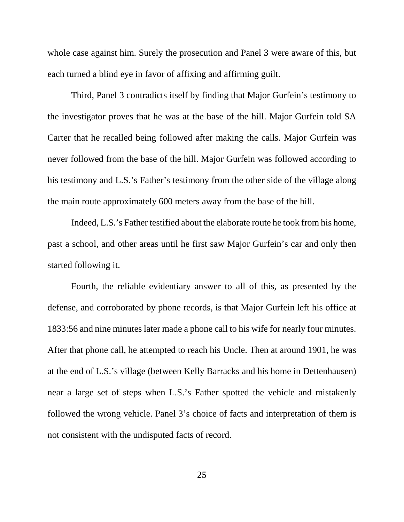whole case against him. Surely the prosecution and Panel 3 were aware of this, but each turned a blind eye in favor of affixing and affirming guilt.

Third, Panel 3 contradicts itself by finding that Major Gurfein's testimony to the investigator proves that he was at the base of the hill. Major Gurfein told SA Carter that he recalled being followed after making the calls. Major Gurfein was never followed from the base of the hill. Major Gurfein was followed according to his testimony and L.S.'s Father's testimony from the other side of the village along the main route approximately 600 meters away from the base of the hill.

Indeed, L.S.'s Father testified about the elaborate route he took from his home, past a school, and other areas until he first saw Major Gurfein's car and only then started following it.

Fourth, the reliable evidentiary answer to all of this, as presented by the defense, and corroborated by phone records, is that Major Gurfein left his office at 1833:56 and nine minutes later made a phone call to his wife for nearly four minutes. After that phone call, he attempted to reach his Uncle. Then at around 1901, he was at the end of L.S.'s village (between Kelly Barracks and his home in Dettenhausen) near a large set of steps when L.S.'s Father spotted the vehicle and mistakenly followed the wrong vehicle. Panel 3's choice of facts and interpretation of them is not consistent with the undisputed facts of record.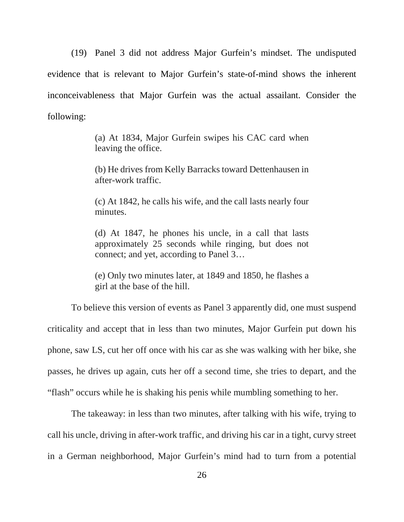(19) Panel 3 did not address Major Gurfein's mindset. The undisputed evidence that is relevant to Major Gurfein's state-of-mind shows the inherent inconceivableness that Major Gurfein was the actual assailant. Consider the following:

> (a) At 1834, Major Gurfein swipes his CAC card when leaving the office.

> (b) He drives from Kelly Barracks toward Dettenhausen in after-work traffic.

> (c) At 1842, he calls his wife, and the call lasts nearly four minutes.

> (d) At 1847, he phones his uncle, in a call that lasts approximately 25 seconds while ringing, but does not connect; and yet, according to Panel 3…

> (e) Only two minutes later, at 1849 and 1850, he flashes a girl at the base of the hill.

To believe this version of events as Panel 3 apparently did, one must suspend criticality and accept that in less than two minutes, Major Gurfein put down his phone, saw LS, cut her off once with his car as she was walking with her bike, she passes, he drives up again, cuts her off a second time, she tries to depart, and the "flash" occurs while he is shaking his penis while mumbling something to her.

The takeaway: in less than two minutes, after talking with his wife, trying to call his uncle, driving in after-work traffic, and driving his car in a tight, curvy street in a German neighborhood, Major Gurfein's mind had to turn from a potential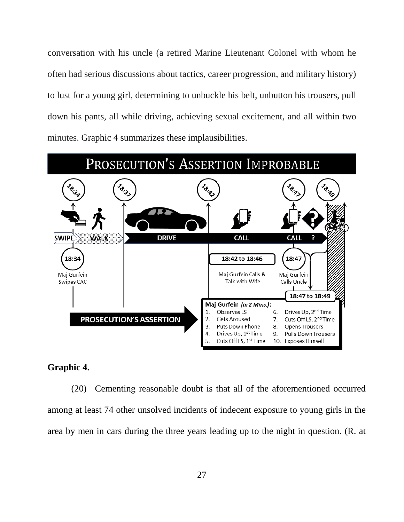conversation with his uncle (a retired Marine Lieutenant Colonel with whom he often had serious discussions about tactics, career progression, and military history) to lust for a young girl, determining to unbuckle his belt, unbutton his trousers, pull down his pants, all while driving, achieving sexual excitement, and all within two minutes. Graphic 4 summarizes these implausibilities.



### **Graphic 4.**

(20) Cementing reasonable doubt is that all of the aforementioned occurred among at least 74 other unsolved incidents of indecent exposure to young girls in the area by men in cars during the three years leading up to the night in question. (R. at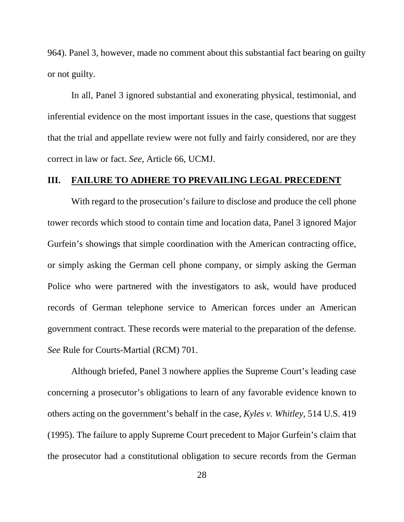964). Panel 3, however, made no comment about this substantial fact bearing on guilty or not guilty.

In all, Panel 3 ignored substantial and exonerating physical, testimonial, and inferential evidence on the most important issues in the case, questions that suggest that the trial and appellate review were not fully and fairly considered, nor are they correct in law or fact. *See*, Article 66, UCMJ.

### **III. FAILURE TO ADHERE TO PREVAILING LEGAL PRECEDENT**

With regard to the prosecution's failure to disclose and produce the cell phone tower records which stood to contain time and location data, Panel 3 ignored Major Gurfein's showings that simple coordination with the American contracting office, or simply asking the German cell phone company, or simply asking the German Police who were partnered with the investigators to ask, would have produced records of German telephone service to American forces under an American government contract. These records were material to the preparation of the defense. *See* Rule for Courts-Martial (RCM) 701.

Although briefed, Panel 3 nowhere applies the Supreme Court's leading case concerning a prosecutor's obligations to learn of any favorable evidence known to others acting on the government's behalf in the case, *Kyles v. Whitley*, 514 U.S. 419 (1995). The failure to apply Supreme Court precedent to Major Gurfein's claim that the prosecutor had a constitutional obligation to secure records from the German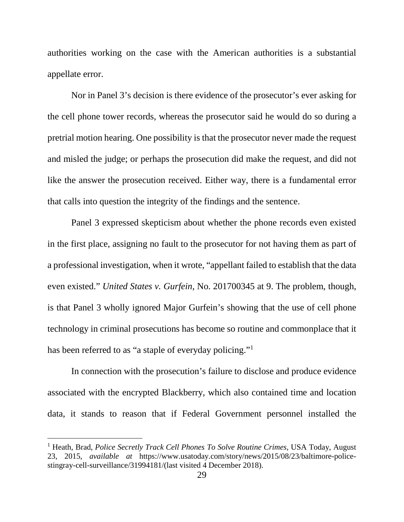authorities working on the case with the American authorities is a substantial appellate error.

Nor in Panel 3's decision is there evidence of the prosecutor's ever asking for the cell phone tower records, whereas the prosecutor said he would do so during a pretrial motion hearing. One possibility is that the prosecutor never made the request and misled the judge; or perhaps the prosecution did make the request, and did not like the answer the prosecution received. Either way, there is a fundamental error that calls into question the integrity of the findings and the sentence.

Panel 3 expressed skepticism about whether the phone records even existed in the first place, assigning no fault to the prosecutor for not having them as part of a professional investigation, when it wrote, "appellant failed to establish that the data even existed." *United States v. Gurfein*, No. 201700345 at 9. The problem, though, is that Panel 3 wholly ignored Major Gurfein's showing that the use of cell phone technology in criminal prosecutions has become so routine and commonplace that it has been referred to as "a staple of everyday policing."<sup>[1](#page-28-0)</sup>

In connection with the prosecution's failure to disclose and produce evidence associated with the encrypted Blackberry, which also contained time and location data, it stands to reason that if Federal Government personnel installed the

t

<span id="page-28-0"></span><sup>1</sup> Heath, Brad, *Police Secretly Track Cell Phones To Solve Routine Crimes*, USA Today, August 23, 2015, *available at* [https://www.usatoday.com/story/news/2015/08/23/baltimore-police](https://www.usatoday.com/story/news/2015/08/23/baltimore-police-stingray-cell-surveillance/31994181/(last)[stingray-cell-surveillance/31994181/\(last](https://www.usatoday.com/story/news/2015/08/23/baltimore-police-stingray-cell-surveillance/31994181/(last) visited 4 December 2018).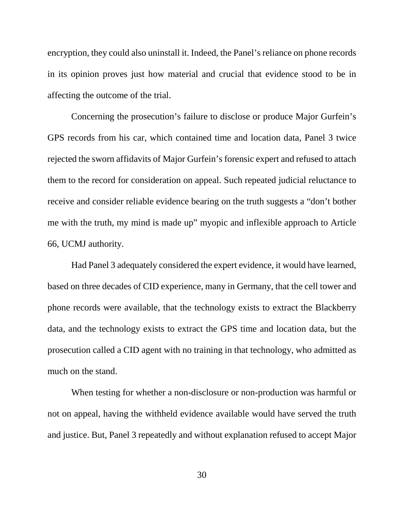encryption, they could also uninstall it. Indeed, the Panel's reliance on phone records in its opinion proves just how material and crucial that evidence stood to be in affecting the outcome of the trial.

Concerning the prosecution's failure to disclose or produce Major Gurfein's GPS records from his car, which contained time and location data, Panel 3 twice rejected the sworn affidavits of Major Gurfein's forensic expert and refused to attach them to the record for consideration on appeal. Such repeated judicial reluctance to receive and consider reliable evidence bearing on the truth suggests a "don't bother me with the truth, my mind is made up" myopic and inflexible approach to Article 66, UCMJ authority.

Had Panel 3 adequately considered the expert evidence, it would have learned, based on three decades of CID experience, many in Germany, that the cell tower and phone records were available, that the technology exists to extract the Blackberry data, and the technology exists to extract the GPS time and location data, but the prosecution called a CID agent with no training in that technology, who admitted as much on the stand.

When testing for whether a non-disclosure or non-production was harmful or not on appeal, having the withheld evidence available would have served the truth and justice. But, Panel 3 repeatedly and without explanation refused to accept Major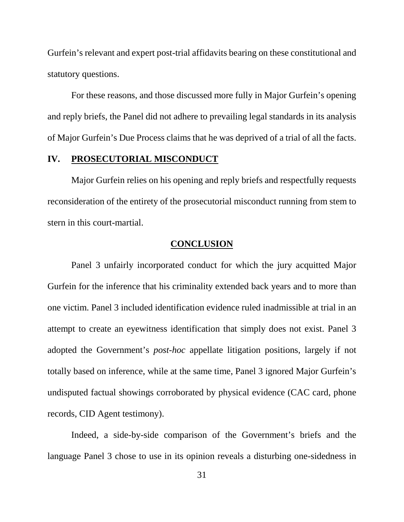Gurfein's relevant and expert post-trial affidavits bearing on these constitutional and statutory questions.

For these reasons, and those discussed more fully in Major Gurfein's opening and reply briefs, the Panel did not adhere to prevailing legal standards in its analysis of Major Gurfein's Due Process claims that he was deprived of a trial of all the facts.

#### **IV. PROSECUTORIAL MISCONDUCT**

Major Gurfein relies on his opening and reply briefs and respectfully requests reconsideration of the entirety of the prosecutorial misconduct running from stem to stern in this court-martial.

#### **CONCLUSION**

Panel 3 unfairly incorporated conduct for which the jury acquitted Major Gurfein for the inference that his criminality extended back years and to more than one victim. Panel 3 included identification evidence ruled inadmissible at trial in an attempt to create an eyewitness identification that simply does not exist. Panel 3 adopted the Government's *post-hoc* appellate litigation positions, largely if not totally based on inference, while at the same time, Panel 3 ignored Major Gurfein's undisputed factual showings corroborated by physical evidence (CAC card, phone records, CID Agent testimony).

Indeed, a side-by-side comparison of the Government's briefs and the language Panel 3 chose to use in its opinion reveals a disturbing one-sidedness in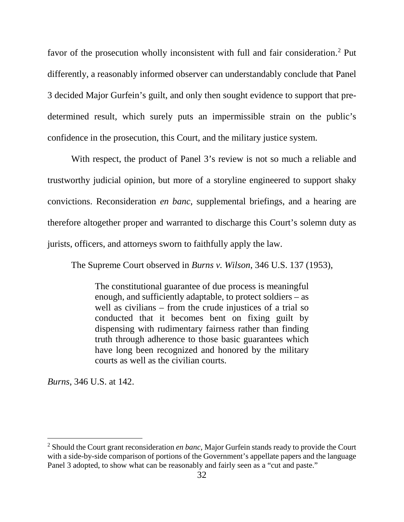favor of the prosecution wholly inconsistent with full and fair consideration.[2](#page-31-0) Put differently, a reasonably informed observer can understandably conclude that Panel 3 decided Major Gurfein's guilt, and only then sought evidence to support that predetermined result, which surely puts an impermissible strain on the public's confidence in the prosecution, this Court, and the military justice system.

With respect, the product of Panel 3's review is not so much a reliable and trustworthy judicial opinion, but more of a storyline engineered to support shaky convictions. Reconsideration *en banc*, supplemental briefings, and a hearing are therefore altogether proper and warranted to discharge this Court's solemn duty as jurists, officers, and attorneys sworn to faithfully apply the law.

The Supreme Court observed in *Burns v. Wilson*, 346 U.S. 137 (1953),

The constitutional guarantee of due process is meaningful enough, and sufficiently adaptable, to protect soldiers – as well as civilians – from the crude injustices of a trial so conducted that it becomes bent on fixing guilt by dispensing with rudimentary fairness rather than finding truth through adherence to those basic guarantees which have long been recognized and honored by the military courts as well as the civilian courts.

*Burns*, 346 U.S. at 142.

 $\overline{1}$ 

<span id="page-31-0"></span><sup>2</sup> Should the Court grant reconsideration *en banc*, Major Gurfein stands ready to provide the Court with a side-by-side comparison of portions of the Government's appellate papers and the language Panel 3 adopted, to show what can be reasonably and fairly seen as a "cut and paste."